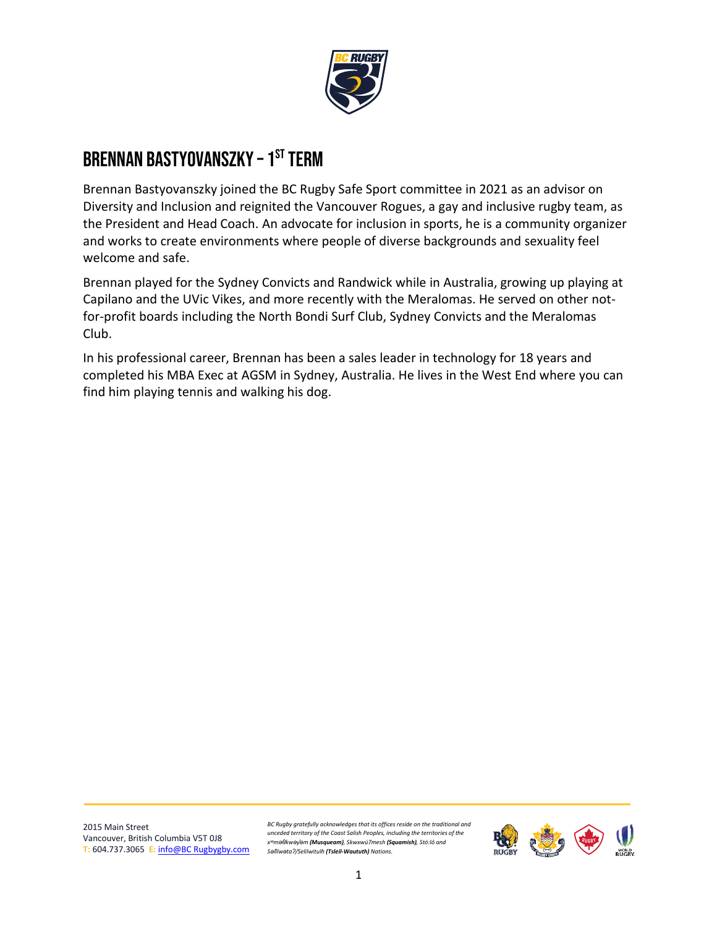

# BRENNAN BASTYOVANSZKY – 1<sup>st</sup> term

Brennan Bastyovanszky joined the BC Rugby Safe Sport committee in 2021 as an advisor on Diversity and Inclusion and reignited the Vancouver Rogues, a gay and inclusive rugby team, as the President and Head Coach. An advocate for inclusion in sports, he is a community organizer and works to create environments where people of diverse backgrounds and sexuality feel welcome and safe.

Brennan played for the Sydney Convicts and Randwick while in Australia, growing up playing at Capilano and the UVic Vikes, and more recently with the Meralomas. He served on other notfor-profit boards including the North Bondi Surf Club, Sydney Convicts and the Meralomas Club.

In his professional career, Brennan has been a sales leader in technology for 18 years and completed his MBA Exec at AGSM in Sydney, Australia. He lives in the West End where you can find him playing tennis and walking his dog.

2015 Main Street Vancouver, British Columbia V5T 0J8 **T:** 604.737.3065 **E:** [info@BC Rugbygby.com](mailto:info@bcrugby.com)

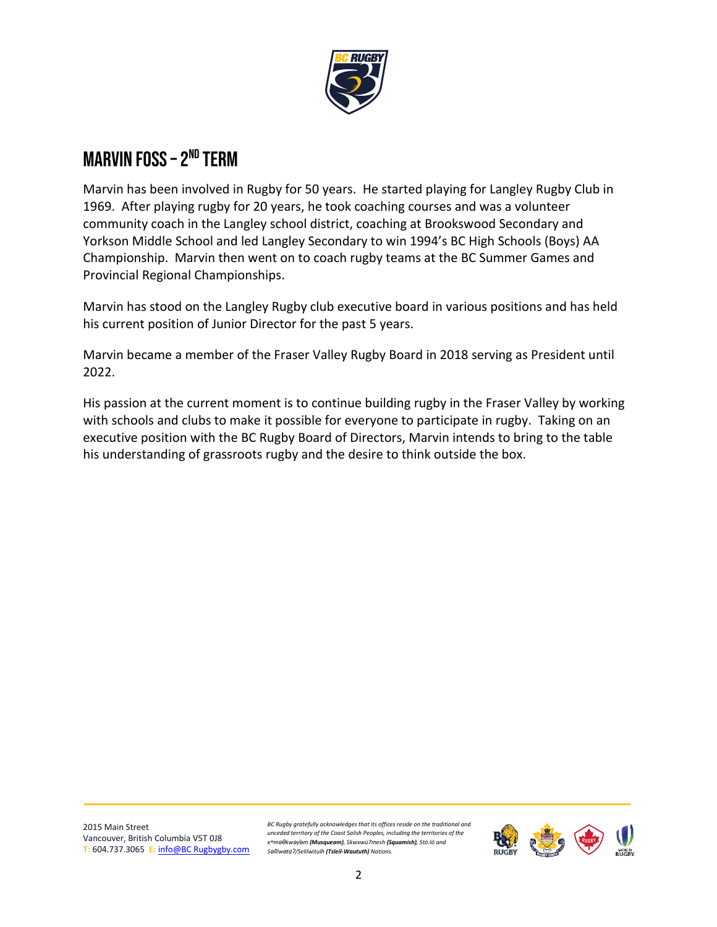

## MARVIN FOSS – 2<sup>nd</sup> term

Marvin has been involved in Rugby for 50 years. He started playing for Langley Rugby Club in 1969. After playing rugby for 20 years, he took coaching courses and was a volunteer community coach in the Langley school district, coaching at Brookswood Secondary and Yorkson Middle School and led Langley Secondary to win 1994's BC High Schools (Boys) AA Championship. Marvin then went on to coach rugby teams at the BC Summer Games and Provincial Regional Championships.

Marvin has stood on the Langley Rugby club executive board in various positions and has held his current position of Junior Director for the past 5 years.

Marvin became a member of the Fraser Valley Rugby Board in 2018 serving as President until 2022.

His passion at the current moment is to continue building rugby in the Fraser Valley by working with schools and clubs to make it possible for everyone to participate in rugby. Taking on an executive position with the BC Rugby Board of Directors, Marvin intends to bring to the table his understanding of grassroots rugby and the desire to think outside the box.

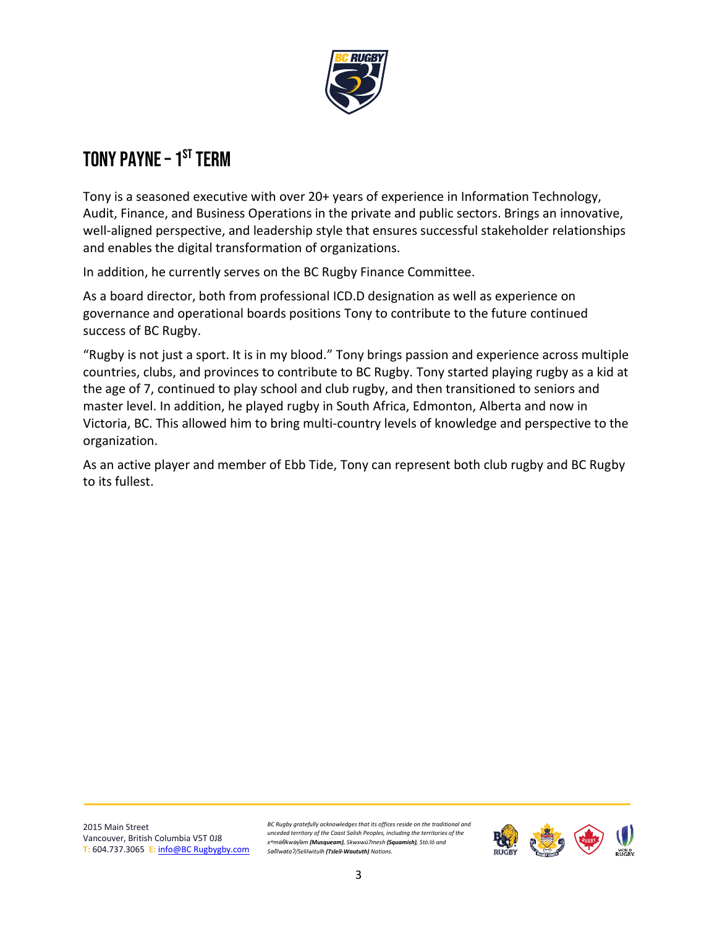

# TONY PAYNE – 1<sup>st</sup> term

Tony is a seasoned executive with over 20+ years of experience in Information Technology, Audit, Finance, and Business Operations in the private and public sectors. Brings an innovative, well-aligned perspective, and leadership style that ensures successful stakeholder relationships and enables the digital transformation of organizations.

In addition, he currently serves on the BC Rugby Finance Committee.

As a board director, both from professional ICD.D designation as well as experience on governance and operational boards positions Tony to contribute to the future continued success of BC Rugby.

"Rugby is not just a sport. It is in my blood." Tony brings passion and experience across multiple countries, clubs, and provinces to contribute to BC Rugby. Tony started playing rugby as a kid at the age of 7, continued to play school and club rugby, and then transitioned to seniors and master level. In addition, he played rugby in South Africa, Edmonton, Alberta and now in Victoria, BC. This allowed him to bring multi-country levels of knowledge and perspective to the organization.

As an active player and member of Ebb Tide, Tony can represent both club rugby and BC Rugby to its fullest.

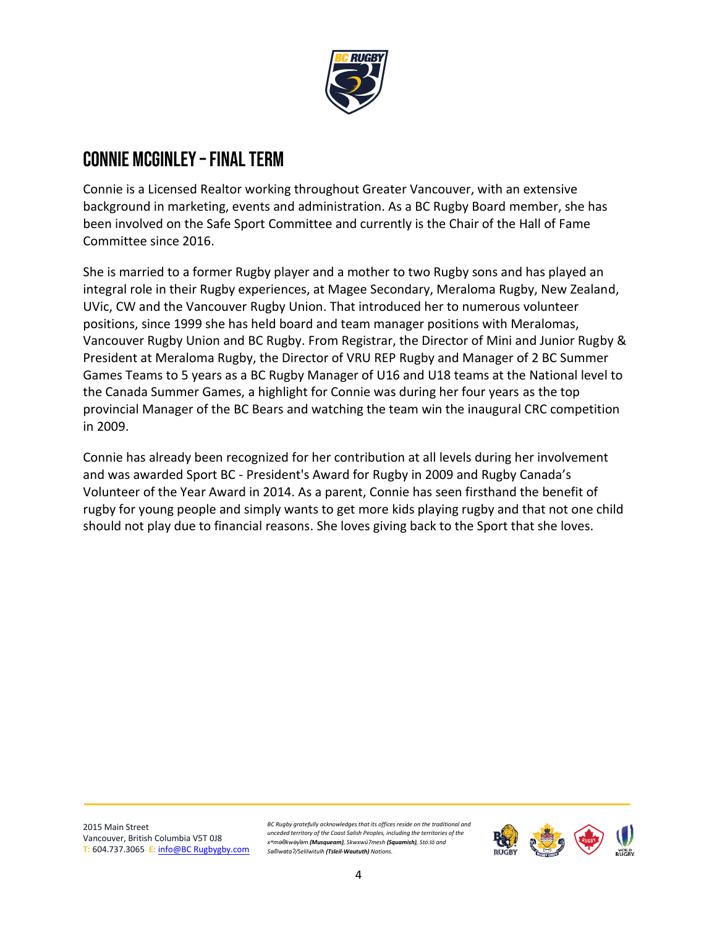

#### CONNIE MCGINLEY - FINAL TERM

Connie is a Licensed Realtor working throughout Greater Vancouver, with an extensive background in marketing, events and administration. As a BC Rugby Board member, she has been involved on the Safe Sport Committee and currently is the Chair of the Hall of Fame Committee since 2016.

She is married to a former Rugby player and a mother to two Rugby sons and has played an integral role in their Rugby experiences, at Magee Secondary, Meraloma Rugby, New Zealand, UVic, CW and the Vancouver Rugby Union. That introduced her to numerous volunteer positions, since 1999 she has held board and team manager positions with Meralomas, Vancouver Rugby Union and BC Rugby. From Registrar, the Director of Mini and Junior Rugby & President at Meraloma Rugby, the Director of VRU REP Rugby and Manager of 2 BC Summer Games Teams to 5 years as a BC Rugby Manager of U16 and U18 teams at the National level to the Canada Summer Games, a highlight for Connie was during her four years as the top provincial Manager of the BC Bears and watching the team win the inaugural CRC competition in 2009.

Connie has already been recognized for her contribution at all levels during her involvement and was awarded Sport BC - President's Award for Rugby in 2009 and Rugby Canada's Volunteer of the Year Award in 2014. As a parent, Connie has seen firsthand the benefit of rugby for young people and simply wants to get more kids playing rugby and that not one child should not play due to financial reasons. She loves giving back to the Sport that she loves.

2015 Main Street Vancouver, British Columbia V5T 0J8 **T:** 604.737.3065 **E:** [info@BC Rugbygby.com](mailto:info@bcrugby.com)